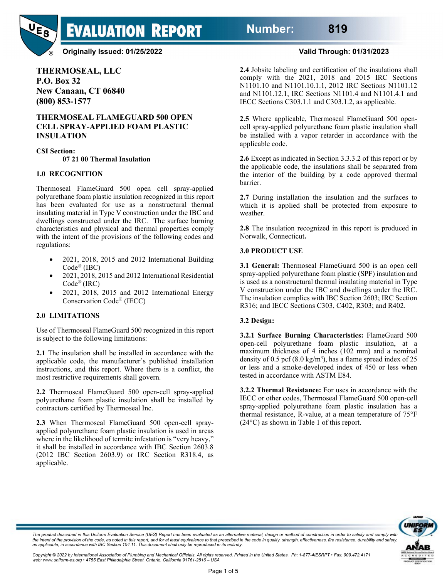**Number: 819**



### **Originally Issued: 01/25/2022 Valid Through: 01/31/2023**

**EVALUATION REPORT** 

**THERMOSEAL, LLC P.O. Box 32 New Canaan, CT 06840 (800) 853-1577**

### **THERMOSEAL FLAMEGUARD 500 OPEN CELL SPRAY-APPLIED FOAM PLASTIC INSULATION**

**CSI Section:**

**07 21 00 Thermal Insulation**

#### **1.0 RECOGNITION**

Thermoseal FlameGuard 500 open cell spray-applied polyurethane foam plastic insulation recognized in this report has been evaluated for use as a nonstructural thermal insulating material in Type V construction under the IBC and dwellings constructed under the IRC. The surface burning characteristics and physical and thermal properties comply with the intent of the provisions of the following codes and regulations:

- 2021, 2018, 2015 and 2012 International Building Code® (IBC)
- 2021, 2018, 2015 and 2012 International Residential Code® (IRC)
- 2021, 2018, 2015 and 2012 International Energy Conservation Code® (IECC)

### **2.0 LIMITATIONS**

Use of Thermoseal FlameGuard 500 recognized in this report is subject to the following limitations:

**2.1** The insulation shall be installed in accordance with the applicable code, the manufacturer's published installation instructions, and this report. Where there is a conflict, the most restrictive requirements shall govern.

**2.2** Thermoseal FlameGuard 500 open-cell spray-applied polyurethane foam plastic insulation shall be installed by contractors certified by Thermoseal Inc.

**2.3** When Thermoseal FlameGuard 500 open-cell sprayapplied polyurethane foam plastic insulation is used in areas where in the likelihood of termite infestation is "very heavy," it shall be installed in accordance with IBC Section 2603.8 (2012 IBC Section 2603.9) or IRC Section R318.4, as applicable.

**2.4** Jobsite labeling and certification of the insulations shall comply with the 2021, 2018 and 2015 IRC Sections N1101.10 and N1101.10.1.1, 2012 IRC Sections N1101.12 and N1101.12.1, IRC Sections N1101.4 and N1101.4.1 and IECC Sections C303.1.1 and C303.1.2, as applicable.

**2.5** Where applicable, Thermoseal FlameGuard 500 opencell spray-applied polyurethane foam plastic insulation shall be installed with a vapor retarder in accordance with the applicable code.

**2.6** Except as indicated in Section 3.3.3.2 of this report or by the applicable code, the insulations shall be separated from the interior of the building by a code approved thermal barrier.

**2.7** During installation the insulation and the surfaces to which it is applied shall be protected from exposure to weather.

**2.8** The insulation recognized in this report is produced in Norwalk, Connecticut**.**

#### **3.0 PRODUCT USE**

**3.1 General:** Thermoseal FlameGuard 500 is an open cell spray-applied polyurethane foam plastic (SPF) insulation and is used as a nonstructural thermal insulating material in Type V construction under the IBC and dwellings under the IRC. The insulation complies with IBC Section 2603; IRC Section R316; and IECC Sections C303, C402, R303; and R402.

#### **3.2 Design:**

**3.2.1 Surface Burning Characteristics:** FlameGuard 500 open-cell polyurethane foam plastic insulation, at a maximum thickness of 4 inches (102 mm) and a nominal density of 0.5 pcf  $(8.0 \text{ kg/m}^3)$ , has a flame spread index of 25 or less and a smoke-developed index of 450 or less when tested in accordance with ASTM E84.

**3.2.2 Thermal Resistance:** For uses in accordance with the IECC or other codes, Thermoseal FlameGuard 500 open-cell spray-applied polyurethane foam plastic insulation has a thermal resistance, R-value, at a mean temperature of 75°F (24°C) as shown in Table 1 of this report.



The product described in this Uniform Evaluation Service (UES) Report has been evaluated as an alternative material, design or method of construction in order to satisfy and comply with<br>the intent of the provision of the c *as applicable, in accordance with IBC Section 104.11. This document shall only be reproduced in its entirety.* 

*Copyright © 2022 by International Association of Plumbing and Mechanical Officials. All rights reserved. Printed in the United States. Ph: 1-877-4IESRPT • Fax: 909.472.4171 web: www.uniform-es.org • 4755 East Philadelphia Street, Ontario, California 91761-2816 – USA*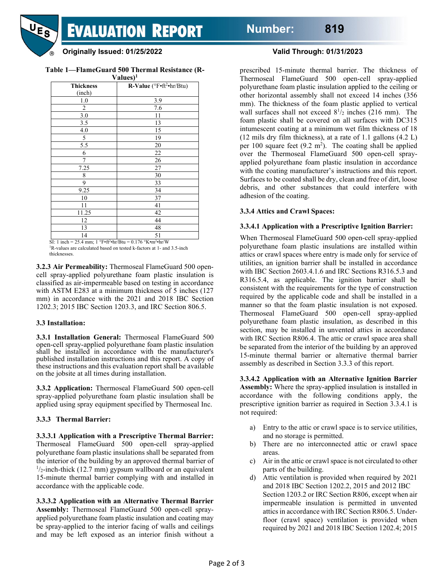**EVALUATION REPORT** 

#### **Originally Issued: 01/25/2022 Valid Through: 01/31/2023**

**Table 1—FlameGuard 500 Thermal Resistance (R-**

| Values) <sup>1</sup> |                                      |
|----------------------|--------------------------------------|
| <b>Thickness</b>     | R-Value (°F.ft <sup>2</sup> ·hr/Btu) |
| (inch)               |                                      |
| $1.0\,$              | 3.9                                  |
| 2                    | 7.6                                  |
| 3.0                  | 11                                   |
| 3.5                  | 13                                   |
| 4.0                  | 15                                   |
| 5                    | 19                                   |
| 5.5                  | 20                                   |
| 6                    | 22                                   |
| 7                    | 26                                   |
| 7.25                 | 27                                   |
| 8                    | 30                                   |
| 9                    | 33                                   |
| 9.25                 | 34                                   |
| 10                   | 37                                   |
| 11                   | 41                                   |
| 11.25                | 42                                   |
| 12                   | 44                                   |
| 13                   | 48                                   |
| 14                   | 51                                   |

SI: 1 inch = 25.4 mm; 1  $\degree$ F•ft<sup>2</sup>•hr/Btu = 0.176  $\degree$ K•m<sup>2</sup>•hr/W

1 R-values are calculated based on tested k-factors at 1- and 3.5-inch thicknesses.

**3.2.3 Air Permeability:** Thermoseal FlameGuard 500 opencell spray-applied polyurethane foam plastic insulation is classified as air-impermeable based on testing in accordance with ASTM E283 at a minimum thickness of 5 inches (127) mm) in accordance with the 2021 and 2018 IBC Section 1202.3; 2015 IBC Section 1203.3, and IRC Section 806.5.

#### **3.3 Installation:**

**3.3.1 Installation General:** Thermoseal FlameGuard 500 open-cell spray-applied polyurethane foam plastic insulation shall be installed in accordance with the manufacturer's published installation instructions and this report. A copy of these instructions and this evaluation report shall be available on the jobsite at all times during installation.

**3.3.2 Application:** Thermoseal FlameGuard 500 open-cell spray-applied polyurethane foam plastic insulation shall be applied using spray equipment specified by Thermoseal Inc.

### **3.3.3 Thermal Barrier:**

**3.3.3.1 Application with a Prescriptive Thermal Barrier:** Thermoseal FlameGuard 500 open-cell spray-applied polyurethane foam plastic insulations shall be separated from the interior of the building by an approved thermal barrier of  $1/2$ -inch-thick (12.7 mm) gypsum wallboard or an equivalent 15-minute thermal barrier complying with and installed in accordance with the applicable code.

**3.3.3.2 Application with an Alternative Thermal Barrier Assembly:** Thermoseal FlameGuard 500 open-cell sprayapplied polyurethane foam plastic insulation and coating may be spray-applied to the interior facing of walls and ceilings and may be left exposed as an interior finish without a

prescribed 15-minute thermal barrier. The thickness of Thermoseal FlameGuard 500 open-cell spray-applied polyurethane foam plastic insulation applied to the ceiling or other horizontal assembly shall not exceed 14 inches (356 mm). The thickness of the foam plastic applied to vertical wall surfaces shall not exceed  $8^{1/2}$  inches (216 mm). The foam plastic shall be covered on all surfaces with DC315 intumescent coating at a minimum wet film thickness of 18 (12 mils dry film thickness), at a rate of 1.1 gallons (4.2 L) per 100 square feet  $(9.2 \text{ m}^2)$ . The coating shall be applied over the Thermoseal FlameGuard 500 open-cell sprayapplied polyurethane foam plastic insulation in accordance with the coating manufacturer's instructions and this report. Surfaces to be coated shall be dry, clean and free of dirt, loose debris, and other substances that could interfere with adhesion of the coating.

### **3.3.4 Attics and Crawl Spaces:**

### **3.3.4.1 Application with a Prescriptive Ignition Barrier:**

When Thermoseal FlameGuard 500 open-cell spray-applied polyurethane foam plastic insulations are installed within attics or crawl spaces where entry is made only for service of utilities, an ignition barrier shall be installed in accordance with IBC Section 2603.4.1.6 and IRC Sections R316.5.3 and R316.5.4, as applicable. The ignition barrier shall be consistent with the requirements for the type of construction required by the applicable code and shall be installed in a manner so that the foam plastic insulation is not exposed. Thermoseal FlameGuard 500 open-cell spray-applied polyurethane foam plastic insulation, as described in this section, may be installed in unvented attics in accordance with IRC Section R806.4. The attic or crawl space area shall be separated from the interior of the building by an approved 15-minute thermal barrier or alternative thermal barrier assembly as described in Section 3.3.3 of this report.

**3.3.4.2 Application with an Alternative Ignition Barrier Assembly:** Where the spray-applied insulation is installed in accordance with the following conditions apply, the prescriptive ignition barrier as required in Section 3.3.4.1 is not required:

- a) Entry to the attic or crawl space is to service utilities, and no storage is permitted.
- b) There are no interconnected attic or crawl space areas.
- c) Air in the attic or crawl space is not circulated to other parts of the building.
- d) Attic ventilation is provided when required by 2021 and 2018 IBC Section 1202.2, 2015 and 2012 IBC Section 1203.2 or IRC Section R806, except when air impermeable insulation is permitted in unvented attics in accordance with IRC Section R806.5. Underfloor (crawl space) ventilation is provided when required by 2021 and 2018 IBC Section 1202.4; 2015